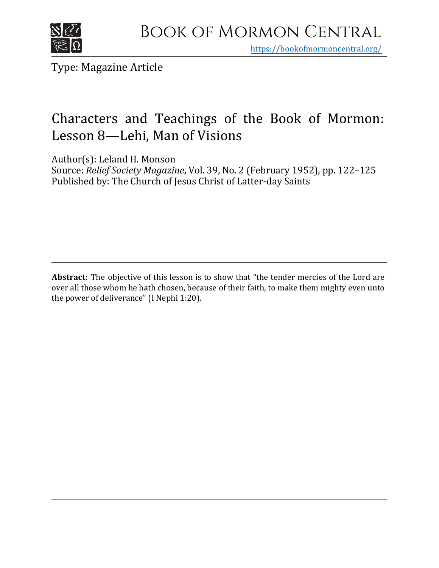

https[://bookofmormoncentral.org/](http://bookofmormoncentral.org/)

Type: Magazine Article

## Characters and Teachings of the Book of Mormon: Lesson 8—Lehi, Man of Visions

Author(s): Leland H. Monson

Source: *Relief Society Magazine*, Vol. 39, No. 2 (February 1952), pp. 122–125 Published by: The Church of Jesus Christ of Latter-day Saints

**Abstract:** The objective of this lesson is to show that "the tender mercies of the Lord are over all those whom he hath chosen, because of their faith, to make them mighty even unto the power of deliverance" (I Nephi 1:20).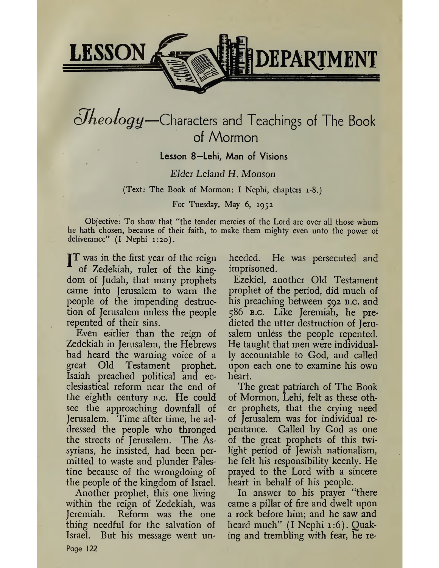

# $\partial$ *heology*—Characters and Teachings of The Book of Mormon

## Lesson 8—Lehi, Man of Visions

## *Elder Leland H. Monson*

(Text: The Book of Mormon: I Nephi, chapters 1-8.)

### For Tuesday, May 6, 1952

Objective: To show that "the tender mercies of the Lord are over all those whom he hath chosen, because of their faith, to make them mighty even unto the power of deliverance" (I Nephi 1:20).

**IT** was in the first year of the reign of Zedekiah, ruler of the kingdom of Judah, that many prophets came into Jerusalem to warn the people of the impending destruction of Jerusalem unless the people repented of their sins.

Even earlier than the reign of Zedekiah in Jerusalem, the Hebrews had heard the warning voice of a great Old Testament prophet. Isaiah preached political and ecclesiastical reform near the end of the eighth century b.c. He could see the approaching downfall of Jerusalem. Time after time, he addressed the people who thronged the streets of Jerusalem. The Assyrians, he insisted, had been permitted to waste and plunder Palestine because of the wrongdoing of the people of the kingdom of Israel.

Another prophet, this one living within the reign of Zedekiah, was Jeremiah. Reform was the one thing needful for the salvation of Israel. But his message went unheeded. He was persecuted and imprisoned.

Ezekiel, another Old Testament prophet of the period, did much of his preaching between 592 B.c. and 586 b.c. Like Jeremiah, he predicted the utter destruction of Jerusalem unless the people repented. He taught that men were individually accountable to God, and called upon each one to examine his own heart.

The great patriarch of The Book of Mormon, Lehi, felt as these other prophets, that the crying need of Jerusalem was for individual repentance. Called by God as one of the great prophets of this twilight period of Jewish nationalism, he felt his responsibility keenly. He prayed to the Lord with a sincere heart in behalf of his people.

In answer to his prayer "there came a pillar of fire and dwelt upon a rock before him; and he saw and heard much" (I Nephi 1:6). Quaking and trembling with fear, he re

Page 122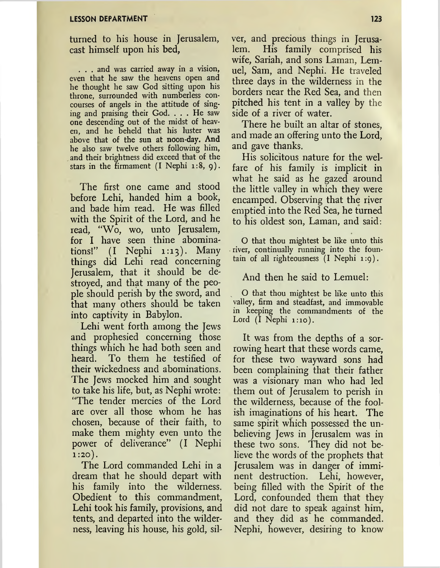#### **LESSON DEPARTMENT 123**

turned to his house in Jerusalem, cast himself upon his bed,

. . . and was carried away in a vision, even that he saw the heavens open and he thought he saw God sitting upon his throne, surrounded with numberless concourses of angels in the attitude of singing and praising their God. ... He saw one descending out of the midst of heaven, and he beheld that his luster was above that of the sun at noon-day. And he also saw twelve others following him, and their brightness did exceed that of the stars in the firmament  $(I \nNephi 1:8, 9)$ .

The first one came and stood before Lehi, handed him a book, and bade him read. He was filled with the Spirit of the Lord, and he read, "Wo, wo, unto Jerusalem, for I have seen thine abominations!"  $(I \quad Nephi \quad 1:13)$ . Many things did Lehi read concerning Jerusalem, that it should be destroyed, and that many of the people should perish by the sword, and that many others should be taken into captivity in Babylon.

Lehi went forth among the Jews and prophesied concerning those things which he had both seen and heard. To them he testified of their wickedness and abominations. The Jews mocked him and sought to take his life, but, as Nephi wrote: "The tender mercies of the Lord are over all those whom he has chosen, because of their faith, to make them mighty even unto the power of deliverance" (I Nephi  $1:20$ ).

The Lord commanded Lehi in a dream that he should depart with his family into the wilderness. Obedient to this commandment, Lehi took his family, provisions, and tents, and departed into the wilderness, leaving his house, his gold, silver, and precious things in Jerusalem. His family comprised his wife, Sariah, and sons Laman, Lemuel, Sam, and Nephi. He traveled three days in the wilderness in the borders near the Red Sea, and then pitched his tent in a valley by the side of a river of water.

There he built an altar of stones, and made an offering unto the Lord, and gave thanks.

His solicitous nature for the welfare of his family is implicit in what he said as he gazed around the little valley in which they were encamped. Observing that the river emptied into the Red Sea, he turned to his oldest son, Laman, and said:

O that thou mightest be like unto this river, continually running into the fountain of all righteousness (I Nephi 1:9).

#### And then he said to Lemuel:

O that thou mightest be like unto this valley, firm and steadfast, and immovable in keeping the commandments of the Lord  $(I \nNephi 1:10)$ .

It was from the depths of a sorrowing heart that these words came, for these two wayward sons had been complaining that their father was a visionary man who had led them out of Jerusalem to perish in the wilderness, because of the foolish imaginations of his heart. The same spirit which possessed the unbelieving Jews in Jerusalem was in these two sons. They did not believe the words of the prophets that Jerusalem was in danger of imminent destruction. Lehi, however, being filled with the Spirit of the Lord, confounded them that they did not dare to speak against him, and they did as he commanded. Nephi, however, desiring to know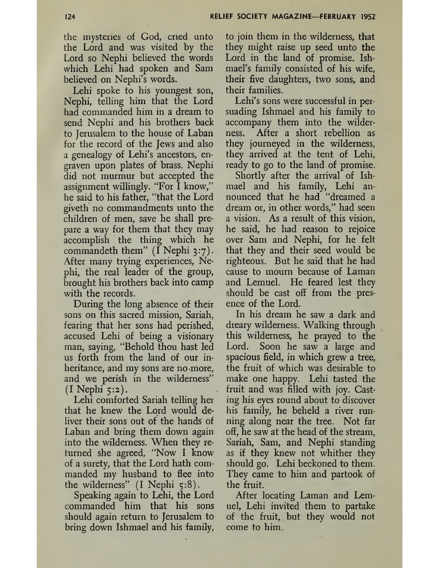the mysteries of God, cried unto the Lord and was visited by the Lord so Nephi believed the words which Lehi had spoken and Sam believed on Nephi's words.

Lehi spoke to his youngest son, Nephi, telling him that the Lord had commanded him in a dream to send Nephi and his brothers back to Jerusalem to the house of Laban for the record of the Jews and also a genealogy of Lehi's ancestors, engraven upon plates of brass. Nephi did not murmur but accepted the assignment willingly. "For I know," he said to his father, "that the Lord giveth no commandments unto the children of men, save he shall prepare a way for them that they may accomplish the thing which he commandeth them"  $(I$  Nephi 3:7). After many trying experiences, Nephi, the real leader of the group, brought his brothers back into camp with the records.

During the long absence of their sons on this sacred mission, Sariah, fearing that her sons had perished, accused Lehi of being a visionary man, saying, "Behold thou hast led us forth from the land of our inheritance, and my sons are no more, and we perish in the wilderness"  $(I$  Nephi  $5:2$ ).

Lehi comforted Sariah telling her that he knew the Lord would deliver their sons out of the hands of Laban and bring them down again into the wilderness. When they returned she agreed, "Now I know of a surety, that the Lord hath commanded my husband to flee into the wilderness" (I Nephi 5:8).

Speaking again to Lehi, the Lord commanded him that his sons should again return to Jerusalem to bring down Ishmael and his family,

to join them in the wilderness, that they might raise up seed unto the Lord in the land of promise. Ishmael's family consisted of his wife, their five daughters, two sons, and their families.

Lehi's sons were successful in persuading Ishmael and his family to accompany them into the wilderness. After a short rebellion as they journeyed in the wilderness, they arrived at the tent of Lehi, ready to go to the land of promise.

Shortly after the arrival of Ishmael and his family, Lehi announced that he had "dreamed a dream or, in other words," had seen a vision. As a result of this vision, he said, he had reason to rejoice over Sam and Nephi, for he felt that they and their seed would be righteous. But he said that he had cause to mourn because of Laman and Lemuel. He feared lest they should be cast off from the presence of the Lord.

In his dream he saw a dark and dreary wilderness. Walking through this wilderness, he prayed to the Lord. Soon he saw a large and spacious field, in which grew a tree, the fruit of which was desirable to make one happy. Lehi tasted the fruit and was filled with joy. Casting his eyes round about to discover his family, he beheld a river running along near the tree. Not far off, he saw at the head of the stream, Sariah, Sam, and Nephi standing as if they knew not whither they should go. Lehi beckoned to them. They came to him and partook of the fruit.

After locating Laman and Lemuel, Lehi invited them to partake of the fruit,. but they would not come to him.